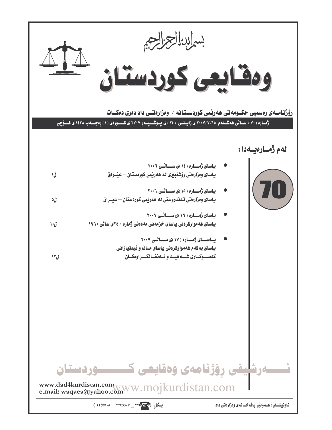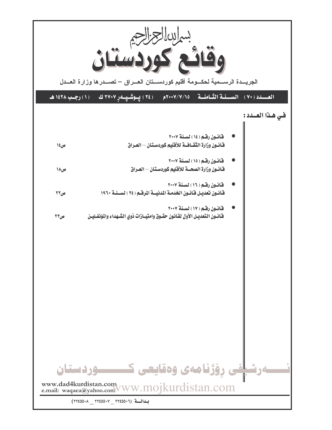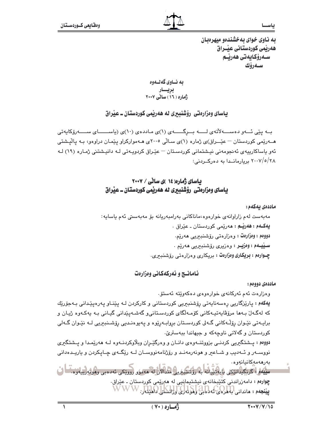به ناوی خوای بهخشندهو میهرهبان هەريمى كوردستانى عيْــراق سـەرۆكايەتى ھەرپـم سەرۆك

به نــاوي گهلــهوه بریسار<br>ژماره ( ۱۹ ) سائے ۲۰۰۷

یاسای وهزارهتی رؤشنبیری نه ههریمی کوردستان ـ عیراق

بــه پێی ئـــهو دهســــهلاْتهى لـــــه بـــرگــــــهى (۱)ى مـاددهى (۱۰)ى (پاســــــاى ســـــهرۆكاپەتى هـــهریمی کوردستان – عیّـــراق)ی ژماره (۱)ی سـالّی ۲۰۰۵ی هــهموارکراو پیّمـان دراوهو، بـه پالیشتی ئەو پاساكارىيەي ئەنجومەنى نېشتمانى كوردسىتان – عێراق كردوپـەتى لـە دانېشتنى ژمـارە (١٩) لـە ۲۰۰۷/٥/۲۸ بربارمانیدا به دورکبردنی:

#### بیاسای ژماره( ١٤ )ی ساٽي / ٢٠٠٧ باسای ومزارهتی رؤشنبیری نه ههریمی کوردستان ــ عیراق

ماددەي بەكەم :

مەبەست لەم زاراوانەي خوارەوە،ماناكانى بەرامبەريانە بۆ مەبەستى ئەم ياسايە: يهکـهم : ههريـّـم : مەريمى کوردستان ـ عيّراق ٠ دوومم : وەزارەت : وەزارەتى رۆشنبىرىي ھەرپە. <u>سيي</u>هم : وەزيـر : وەزيرى رۆشنبىريى ھەريم . چـوارهم : بريکاري وهزارهت : بريکاري وهزارهتي رۆشنبىرى.

ئـامـانــج و ئـەركـەكـانى وەزارەت

ماددەي دووەم:

وەزارەت ئەم ئەركانەي خوارەوەي دەكەوێتە ئەستۆ.

**يەكەم :** پارێزگاریی رەسەنايەتی رۆشنبېریی كوردستانی و كاركردن لـه پێنـاو پەرەپێـدانی بـەجۆرێك که لهگـهاڵ بـهها مرۆڨاپەتپـەکانى کۆمـەڵگای کوردسـتانىو گەشـەپێدانى گيـانى بـه پەکـەوە ژپـان و برايـهتي نێـوان رۆڵـﻪکاني گـﻪلي کوردسـتان بروابـﻪرێوه و پهيوهنـديي رۆشـنـڊبريي لـﻪ نێـوان گـﻪلي کوردستان و گهلانی ناوچهکه و جیهاندا ببهستریّ.

دووهم : پشتگیریی کردنـی بزووتنـهوهى دانـان و وهرگیّـران وبلاوکردنـهوه لـه ههریمـدا و پـشتگیری نووســهر و ئــهديب و شــاعير و هونهرمهنــد و رۆژنامهنووســان لــه رێِگــهى چــاپكردن و ياريــدەدانى بەرھەمەكانيانەوھ.

سِيْيَهُمْ؛ كُرْنِكِيدَانتِكِي بِابِهْتَيْبِانَه بِهِ رَوْشَتَبِبِرِيلِ مُنْدَالانِ لَهِ مَهِمُوْرِ روويحي ئەدەبى وهونەرىيا وە كُ چوارهم : دامهزراندنی کتیبخانهی نیشتیمانیی له ههریمی کوردستان ـ عیراق. **پيننجهم : مانداني لباهردي، ئەدەبىي لولوندلى لولايىتىلى (باھايىتار**، W W W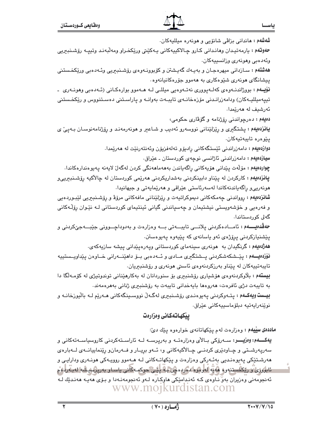**ماددهی سییهم :** وهزارهت لهم یێکهاتانهی خوارهوه یێك *دئ*: **يەكـــەم: وەزيـــر:** ســەرۆكى بــالأى وەزارەتــە و بەرپرســە لــە ئاراســتەكردنى كاروسياســەتەكانى و سەرپەرشىتى و چـاودێرى كردنــى چـالأكيەكانى و، ئــەو بريــار و فــەرمانو رێنماييانــەى لــەبارەى هەرشىتێكى پەيوەنىدىي بەئـەركى وەزارەت و پێكھاتـەكانى لـە ھـﻪموو رووپـەكى ھونـەرى ودارايـى و ئابۇررى رىڭخستنەرە ھەيە لەرھۇر دەرە مچن بىھ لىيى جوكمىەكانى ياسـار بەرپۇمىيىشە لەبەرلەم ئەنجومەنى وەزيران بەر ناوەي كـە ئەندامێكى ھاوكـارە لـەو ئەنجومەنـەدا و بـۆى ھەيـە ھەنـدێك لـە www.mojkurdistan.com

بيكهاتهكاني وهزارهت

توٽنەراپەتپە دېلۆماسىيەكانى عٽراق.

تايبەتييەكان لە يێناو بەرزكردنەوەي ئاستى ھونەرى و رۆشنبىريان.

بیستهم: بلاوکردنهوهی هۆشیاری رۆشنبىرى بۆ سنوردانان له بهکارهێنانى توندوتیژی له کۆمـەلگا دا بە تايبەت دژى ئافرەت، ھەروەھا بايەخدانى تايبەت بە رۆشنبىرى ژنانى بەھرەمەند. **بیست ویهکـهم :** پتـهوکردنی پهیوهنـدی رۆشـنبیری لهگـهڵ نووسـینگهکانی هـهریم لـه بالیورخانـه و

يێشنيازکردنی پرۆژەی ئەو ياسانەی کە يێيەوە يەيوەستن. **هەژەەيەم :** گرنگيدان بە ھونەرى سىينەماي كوردستانى ويەرەپيدانى يىشە سازيەكەي. **نۆزدەيـــەم :** يێــشكەشكردنى يــشتگيرى مــادى و ئــەدەبى بــۆ داھێنـــەرانى خــاوەن يێداويــستييە

**شانزدهیهم :** روواندنی چەمکەکانی دیموکراتیەت و رێزلێنانی مافەکانی مرۆۋ و رۆشىنبىرىي لێبىوردەيى و فەرەپى و خۆشەوپستى نېشتېمان و چەسپاندنى گيانى ئېنتېماي كوردستانى لـە نێوان رۆڵەكانى گەلى كوردستاندا. **حەڤدەيــــەم :** ئامـــادەكردنى يلانـــى تايبـــەتى بـــە وەزارەت و بەدوداچـــوونى جێبـــەجێكردنى و

هونەرییو راگەیاندنەکاندا لەسەرئاستی عێراقی و ھەرێمایەتی و جیھانیدا٠

چواردەيەم : مۆلەت پێدانى ھۆيەكانى راگەياندن بەھەماھەنگى كردن لەگەل لايەنە پەيوەندارەكاندا. **پانزدهیهم :** کارکردن له پێناو دابینکردنی بهشداریکردنی ههرێمی کوردستان له چالأکیه رێشـنبیرییو

دوازدەيەم : دامەزراندنى ئێستگەكانى رادىۆو تەلەفزيۆن وئەنتەرنێت لە ھەرێمدا. **سیازدهیهم :** دامەزراندنی ئاژانسی نوچەی كوردستان ـ عێراق.

يٽوەرە تايبەتيەكان.

شەشەم : ماندانی بزاڤی شانۆیی و مونەرە میللیەکان.

وئەدەبى وھونەرى وزانسىيەكان.

دەيلەم : دەرچواندنى رۆژنامە وگۆۋارى حكومى، **یانزدهیهم :** یشتگیری و ریزلیننانی نووسهرو ئهدیب و شـاعیر و هونهرمهنـد و رۆژنامهنوسـان بـهیـی ی

ه**هشتهم :** سـازداني ميهرهجـان و بهيـهك گهيـشتن و كۆبوونـهوهى رۆشـندبريي وئـهدەبي ورێكخـستني

پیشانگای مونهری شنیوهکاری به ههموو جۆرەکانیانەوه. نۆپىەم : بووژاندنــەوەي كەلــەيوورى نەتــەوەيى مىللــى لــە ھــەموو بوارەكـانى (ئــەدەبى وھونــەرى ــ

حهوتهم : پارمەتپدان وهاندانى كـارو چـالاكييەكانى پـەكێتى ورێكخـراو ومەلبەنـد وتيپـه رۆشـنبيريى

تییهمیللیـهکان) ودامهزرانـدنی مۆزەخانـهى تايبـهت بهوانـه و پاراسـتنى دەسـتنووس و رێِكخـستنى ئەرشىف لە ھەرێمدا.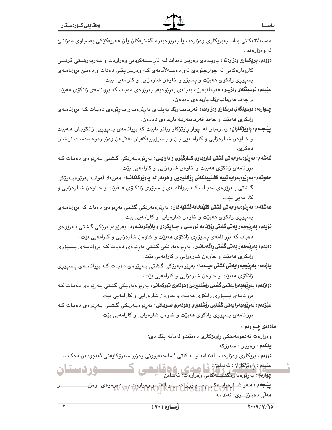دەسەلأتەكانى بدات بەبريكارى وەزارەت يا بەرێوەبەرە گشتپەكان يان ھەرپەكێكى بەشياوى دەزانىيّ له ووزارهتدا.

دووهم: بریک اری وهزارهت : پاریده ی وهزیر دهدات لـه ئاراسته کردنی وهزارهت و سهریه رشتی کردنی کاروبارهکانی له چوارچێوهی ئهو دهسهلاٌتانهی کـه وهزیـر یێـی دهدات و دهبـێ بروانامـهی يسيۆرى زانكۆى ھەبێت و يسيۆر و خاوەن شارەزايى و كارامەيى بێت.

**سیّیهم: نوسینگەی وەزیــر: ن**ەرمانبەرێك بەيلەی بەرێوەبەر بەرێوەی دەبات كە بروانامەی زانكۆی ھەبێت و چەند فەرمانبەرتك پارىدەي دەدەن.

چـوارەم: نوسینگەي بریکاري وەزارەت: فەرمانبـەرێك بەيلـەي بەرێوەبـەر بـەرێوەي دەبـات كـە بروانامـەي زانکۆي ھەبێت و چەند فەرمانبەرێك ياريدەي دەدەن.

**پیْنجـهم: راویْژَکاران:** ژمارەیان له چوار راویْژْکار زیاتر نابیِّت که بروانامهی پسیۆریی زانکۆیـان مــهبیِّت و خـاوهن شـارهزايي و کارامـهيي بـن و پـسپۆرپيهکهيان لهلايـهن وهزيـرهوه دهسـت نيـشان دهکريٰ.

شەشەم: بەرێوەبەرايەتى گشتى كاروبارى كــارگێرى و دارايــى: بەرێوەبـەرێکى گـشتى بـەرێوەي دەبـات كـه بروانامهي زانكۆي هەبيت و خاوەن شارەزايى و كارامەيى بيت.

**حەوتەم: بەرپوەبەرايەتييە گشتييەكانى رۆشنبېريى و ھونەر لە پارپرگاكاندا: م**ەريەك لەرانــە بەرپو.ەبـەرپكى گشتي بـهرێوهي دهبـات کـه بروانامـهي پـسيۆري زانکـۆي هــهبێت و خـاوهن شـارهزايي و کارامەبى بێت.

**ھەشتەم: بەريوەبەرايەتى گشتى كتيْبخانەگشتيەكان:** بەريوەبەريكى گشتى بەريوەي دەبات كە بروانامــەي يسيۆرى زانكۆى ھەبێت و خاوەن شارەزايى و كارامەيى بێت.

**نۆيەم: بەرێوەبەرايەتى گشتى رۆژنـامە نووسـى و چــايكردن و بلاوكردنــەوە:** بەرێو.ەبـەرێكى گـشتى بـەرێو.ەي دهبات که بروانامهی پسیوّری زانکوّی ههبیّت و خاوهن شارهزایی و کارامهیی بیّت.

**دەيەم: بەرێوەبەرايەتى گشتى راگەياندن:** بەرێوەبەرێکى گشتى بەرێوەي دەبات کـﻪ بروانامـﻪي پـﺴﯩﻴﯚرى زانکۆی هەبێت و خاوەن شارەزايى و کارامەيى بێت.

**یازدەم: بەرێوەبەرايەتى گشتى سینەما:** بەرێوەبەرێکى گـشتى بـەرێوەي دەبـات کـە بروانامـەي پـسىۆرى زانکۆی مەبێت و خاوەن شارەزايى و کارامەيى بێت.

دوازدەم: بەرێوەبەرايەتيى گشتى رۆشنبېريى وھونەرى توركمانى: بەرێو ەبەرێكى گشتى بەرێوەي دەبـات كـﻪ بروانامهي يسيۆرى زانكۆى ھەبێت و خاوەن شارەزايى و كارامەيى بێت.

سێزدەم: بەرێوەبەرايەتى گشتيى رۆشنېيرى وھونەرى سـريانى: بەرێو،بـەرێکى گـشتى بـەرێو،ي دەبـات کـە بروانامهي پسيۆرى زانكۆي ھەبێت و خاوەن شارەزايى و كارامەيى بێت.

ماددهۍ چــوارهم :

وهزارهت ئەنجومەنێكى راوێژكارى دەبێتو لەمانە يێك دێ:

يەكەم : وەزيىر : سەرۆكە .

دووهم : بريکاري وهزارهت: ئەندامە و له کاتى ئامادەنەبوونى وەزير سەرۆکاپەتى ئەنجومەن دەکات.

سێۑەم : ژاوێڗ۬کاران: ئەنداەن.<br>چوارەم : بەرتوەمبەرەگشتىييەكانى وەزارەت: ئەندامن. **وردستان پينجهم : م**ـه ر شـــارهزايــهکــ<u>ي پسهــه نزره) شـــيـاو ال</u>انــار وهزارهت پــار (وره وهء)، وهزيــ<br>. مەلّى دەبىژێـــرێ: ئەندامە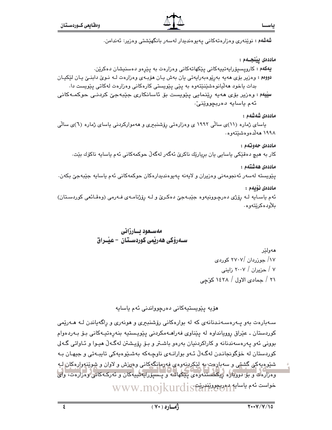ياسحا

شەشەم : نوێنەرى وەزارەتەكانى يەيوەندىدار لەسەر بانگهێشتى وەزير: ئەندامن.

#### ماددەى يېنجـەم :

يهکهم : کارويسيۆرايەتييەکانى يێکهاتەکانى وەزارەت بە يێرەو دەسنيشان دەکرێن. دووهم : وهزير بۆي هەيە بەرپوه بەرايەتى يان بەش يان هۆبەي وهزارەت لـه نـوى دابنـى يان ليكيان بدات یاخود هەلّیانوەشێنێتەوە بە پێی پێویستی کارەکانی وەزارەت لەکاتی یێویست دا. سليهه : وەرىر بۆی مەيە رِيْنمايى پێويست بۆ ئاسانكارى جێبەجێ كردنـی حوكمـﻪكانى ئەم ياسايە دەربچووێنىٚ٠

#### ماددەى شەشەم :

یاسای ژماره (۱۱)ی سالّی ۱۹۹۲ ی وهزارهتی رِۆشندیری و ههموارکردنی یاسای ژماره (٦)ی سالّی ۱۹۹۸ هەلدەوەشىيتەوە.

#### ماددەي جەوتەم :

کار به هیچ دەقێکی یاسایی یان بریارێك ناكرێ ئەگەر لەگەڵ حوكمەكانی ئەم یاسایە ناكۆك بێت٠

#### ماددەى ھەشتەم :

يٽويسته لهسهر ئهنجومهني وهزيران و لايهنه يهيوهنديدارهکان حوکمهکاني ئهم ياسايه جێبهجێ بکهن.

#### ماددەى ئۆيەم :

ئهم ياسايه لـه رۆژى دەرچىوونيەوە جێبـهجىؒ دەكـرىؒ و لـه رۆژنامـهى فـهرمى (وەقـائعى كوردسـتان) بلأودەكرێتەوە.

### مەسىعود بسارزانى سـەرۆكى ھەريمى كوردسـتان – عيْــراق

هەولێر ۱۷/ جوړردان /۲۷۰۷ کوردی ۷ / حزیران / ۲۰۰۷ زاینی ۲۱ / جمادی الاول / ۱٤۲۸ کوّجی

ھۆيە يێويستيەكانى دەرچوواندنى ئەم ياسايە

سـهبارهت بهو پــهرهسـهنـدنانهى كه له بوارهكانى رۆشنبېرى و هونهرى و راگهپاندن لــه هــهريمى کوردستان ـ عێراق رِوويانداوه له پێناوی فهراهــهمکردنی پێویـستیه بنهرِهتیـهکانی بـۆ بـهردهوام بووني ئەو پەرەسەندنانە و كاراكردنيان بەرەو باشىتر و بـۆ رۆپىشتن لەگـەلّ ھېـوا و ئـاواتى گـەلى کوردستان له خۆگونجانـدن لهگـهڵ ئـهو بوارانـهي ناوچـهکه بهشـێوهيهکي تايبـهتي و جيهـان بـه شێوهپهکی گشتی و سهباردت به لێکردنهوهی فهرمانگهکانی ومرزش و لاوان و شوێنهوارهکان لـه وەزارەت و بۆ دوپبارە رىكخستنەوەي يېڭھات و پىسۆراپەتىيەكان و ئەركـەكانى وەزارەت، واي WWW.mojkurdiställ:

 $\overline{\mathbf{z}}$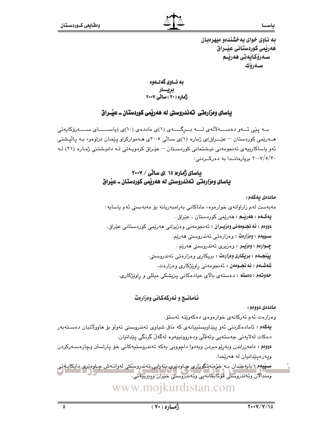به ناوی خوای به خشندهو میهرهبان هەريمى كوردستانى عيْــراق سـەرۆكايەتى ھەرێـم سەرۆك

به نساوي گەنسەوە بریسار<br>ژماره (۲۰) سالی ۲۰۰۷

#### یاسای ومزارهتی تهندروستی له ههریمی کوردستان ــ عیّــراق

بــه یێی ئـــهو دهســــهلأتهى لــــه بـــرگـــــهى (۱)ى ماددهى (۱۰)ى (پاســـــــاى ســـــهرۆكاپەتى هـــهریمی کوردستان – عیٌـــراق)ی ژماره (۱)ی ســالّی ۲۰۰۵ی هــهموارکراو ییّمـان دراوهو، بـه یالیّـشتی ئەو پاساكارىيەي ئەنجومەنى نيشتمانى كوردسىتان – عێراق كردوپـەتى لـە دانيشتنى ژمـارە (٢١) لـە ٢٠٠٧/٥/٣٠ بريارماندا به دهركردنى:

#### بیاسای ژماره( ۱۵ )ی ساٽي / ۲۰۰۷ باسای وهزارهتی تهندروستی له ههریمی کوردستان ــ عیراق

#### ماددەى يەكەم:

مەبەست لەم زاراوانەي خوارەوە، ماناكانى بەرامبەريانە بۆ مەبەستى ئەم ياسايە: يهکـهم : ههريـّـم : مەريّمى کوردستان ـ عيّراق . **دووهم : ئه نجــومهني وەزپــران :** ئـه نجومهني وهزيراني هـهرێمي كوردستاني عێراق. سـێپهم : وەزارەت : وەزارەتى تەندروسىتى ھەرێم. چـوارهم : وەزيــر : وەزيرى تەندروستى ھەرێم . ييْنجــهم : بريكاري وەزارەت : بريكاري وەزارەتى تەندروسىتى. **شەشــەم : ئە نجــومەن :** ئەنجومەنى راوێژكارى وەزارەت. ح**هوننهم : دهسته :** دهستهی بالای عیادهکانی یزیشکی میللی و راویزژکاری.

#### نامانسج و نهرکهکانی وهزارهت

#### ماددەي دوومم:

وەزارەت ئەم ئەركانەي خوارەوەي دەكەوپتە ئەستۆ.

يهکهم : ئامادهکردنی ئەو پێداویستییانەی کە ماڧى شیاوی تەندروسىتى تەواو بۆ ھاوولاتيان دەستەبەر دەكات لەلايەنى جەستەيى وئەقلى ودەروونپيەوە لەگەلْ گرنگى يێدانيان.

دووم : دامەزراندن وبەرێوەبردن وبەدوا داچوونى يەكە تەندروستيەكانى خۆ پاراستن وچارەسـەركردن ويەرەيێدانيان لە ھەرێمدا.

<u>سين</u>يمم : بايوخدان بـه خرشه تگورار*ي* چـاودنري بـه رايي تهندروسکي له وانـهش چـاودنري دايکايـه تي ومندالان وتەندروستى قوتابخانەيى وتەندروستى خَيْرَان ويبرىيەتى.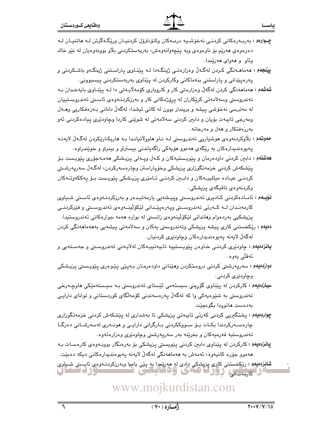- چوارهم : بەربەرەكانى كردنـى نەخۆشىيە درمـەكان وكـۆنترۆل كردنيـان ورێگـەگرتن لـه ھاتنيـان لـه دەرەوەي ھەرێم بۆ ناوەوەي وبە يێڃەوانەوەش، بەربەستكردنى بلاو بوونەوەيان لە نێو خاك وبڻاو و ههواي ههرٽمدا.
- **پينجهم : م**هماهـهنگي کـردن لهگـهڵ وهزارهتـي ژينگـهدا لــه پـێنــاوي پـاراسـتني ژينگـهو باشـکردني و پەرەپێدانى و پاراستنى بنەماكانى وكاركردن لە پێناوى بەربەستكردنى پيسبوونى.
- شەشەم : مەمامەنگى كردن لەگەلّ وەزارەتى كار و كاروبارى كۆمەلايـەتى دا لـە يێنـاوى بايەخـدان بـە تەندروستى وسەلامەتى كريكاران لە پرۆژەكانى كار و بەرزكردنـەوەي ئاسىتى تەندروسـتييان له مەترسى نەخۆشى پيشە و بريندار بوون لە كاتى ئيشدا، لەگەلّ دانانى بـەزەڧكاريى وھـەل ومەرجى تايبەت بۆيان و دابين كردنى سەلامەتى لە شوێنى كاردا وچاودێرى پيادەكردنى ئەو پهرزهفتکار و ههل و مهرجانه.
- حهوتهم : بلاوکردنهوهي هوشياريي تهندروستي لـه نـاو هاوولاتيانـدا بـه هاريکـارێکردن لهگـهلّ لايهنـه پهيوهنديدارهکان به رێگەی هەمور هۆپەکی راگەپاندنی بېستراو و بېنراو و خوێندراوه٠
- ه**هشتهم :** دابین کردنی داودهرمان و پ<u>ٽو</u>یسنتیهکان و کـهل ویـهلی پزیـشکی ههمـهجۆری پێویـست بـۆ پێشكەش كردنى خزمەتگوزارى پزيشكى وخۆپاراستن وچارەسەركردن، لەگەڵ سەرپەرشىتى کردنـی عیـاده میللییـهکان و دابـین کردنـی ئـامێری پزیـشکی پێویـست بـۆ پهککهوتـهکان وكردنەوەي تاقيگەي يزيشكى.
- **نۆيـەم :** ئامـادەكردنى كـادىرى تەندروسـتى وپيـشەيى يارمەتيـدەر و بەرزكردنـەوەى ئاسـتى شـياوى كارمەنىدان لــە كــەرتى تەندروسىتى ويەرەپێىدانى لێكۆلێنــەوەي تەندروسىتى و فێركردنــى پزیشکیی بەردەوام وھاندانی لێکۆلٚپنەوەی زانستی له بوارە ھەمە جوارەکانی تەندروستیدا.
- دەيەم : ريكخستنی كاری پيشە پزيشكی وتەندروستی پەكان و سەلامەتی پيشەپی بەھەماھەنگی كردن لەگەلْ لايەنە يەيوەندىدارەكان وچاودێرى كردنيان.
- **يانزدهيهم :** چاودێری کردنـی خـاوهن پێویـستپیه تایبهتپیـهکان لهلایـهنی تهندروسـتی و جهسـتهیی و ئەقلّى بەرە.
- دوازدەيەم : سەريەرشتى كردنى دروستكردن وھێنانى داودەرمـان بـەپێى پێـوەرى پێويـستى پزيـشكى وڃاوڊٽري کردني.
- **سیارْدهیهم :** کارکردن له پیداوی گورینی سیستهمی ئیستای تهندروستی بـه سیـستهمیکی هاوچـهرخی تەندروسىتى بە شێوەپەكى وا كە لەگەڵ پەرەسەندنى كۆمەلگاى كوردستانى و تواناى دارايـى پهدهست هاتوودا پگويخٽت.
- <mark>چواردەيەم</mark> : پشتگیریی کردنی کەرتی تايبەتی یزیشکی تا بەشداری لە يێشکەش کردنی خزمەتگوزاری چارەســەركردندا بكــات بــۆ ســووككردنى بــارگرانى دارايــى و ھونــەرى لەسەرشــانى دەزگــا تەندروستيە فەرميەكان و بخرێنە بەر سەريەرشتى وچاودێرى وەزارەتەوە٠
- **پانزدهیهم :** کارکردن له پێناوی دابین کردنی پێویستی پزیشکی بۆ بەرەنگار بوونـەوەی کارەسـات بـه هەموو جۆرە كانپەوە، ئەمەش بە ھەماھەنگى لەگەلّ لايەنە يەيوەندېدارەكانى دېكە دەبێت.
- **شانزدهيم :** رێڮخستنی کارې ڇزڀشکي دادی له هه رێمدا په پێی پاسا وبهرزکردنـهوهي ئاسـىتي شپـڀاوي لا كارمەندانى، زوزكا ئەمى ۋەقال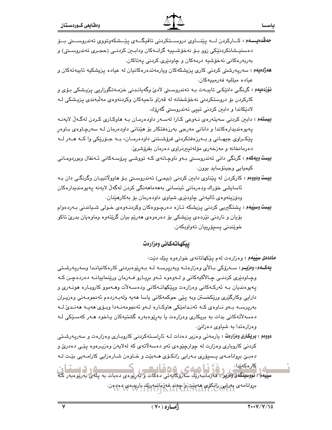<mark>ههژه،یهم</mark> : سەرپەرشتی کردنی کاری پزیشکەکان ویارمەتدەرەکانیان لە عیادە یزیشکیە تایبەتەکان و عياده ميلليه فەرمىيەكان.

نۇزدەيەم : گرنگى دانێكى تايبـەت بـە تەندروسىتى لادى وگەيانـدنى خزمـەتگوزاريى پزيشكى بـۆى و کارکردن بۆ دروستکردنی نەخۆشخانە لە قەزاو ناحيەکان وکردنەوەي مەلىبەندى پزيشکی لـە لادٽِکاندا و دابئن کردنی تبيي تەندروستی گەرۆك.

بِيستهم : دابين كردنى سەيتەرەي نـەوعى كـارا لەسـەر داودەرمـان بـه هاوكـارى كـردن لەگـەلّ لايەنـه یهیوهندیدارهکاندا و دانانی مەرجی بەرزەفتکار بۆ هێنانی داودەرمان لـه سەرچـاوەی بـاوەر پٽِکـراوي جيهـاني و بـهرزهفتکردني فرۆشـتني داودهرمـان، بـه جـۆرٽِکي وا کـه هــهر لــه دەرمانخانە و مەزخەرى مۆلەتپېردراوى دەرمان بفرۆشرىّ.

- **بیست ویهکهم :** گرنگی دانی تەندروسىتى بـەو ناوچـانەی کـە تووشـی پرۆسـەکانی ئـەنفال وبوردومـانی کیمیایی وجینۆساید بوون٠
- بِيست ودوومم : کارکردن له پێناوی دابین کردنی (بیمی) تهندروستی بو هاوولاتیپان وگرنگی دان به ئاسايشى خۆراك ودەرمانى ئينسانى بەھەماھەنگى كردن لەگەلّ لايەنە يەيوەنديدارەكان ودۆرينەوەي ئاليەتى چاودێرى شياوى داودەرمان بۆ بەكارھێنان.

**بيست وسييهم :** پشتگيريي کردني پزيشکه تـازه دهرچـووهکان وکردنـهوهي خـولي شـياندني بـهردهوام بۆيان و ناردنی نێردەی پزیشکی بۆ دەرەوەی ھەرێم بیان گرێتەوە وماوەيان بدریٚ تاکو خويندني يسيۆرپيان تەواويكەن.

### ييكهاتهكاني وهزارهت

ماددهی سلیهم : وهزارهت لهم ینکهاتانهی خوارهوه ینك دنت:

يەكــەم: وەزيــر: ســەرۆكى بــالأي وەزارەتــە وبەريرســە لــە بــەرێوەبردنى كارەكانيانـدا وسەريـەرشـتى وچـاودێری کردنـی چـالأکیهکانی و لــهوهوه ئــهو بریـارو فــهرمان ورێنماییانــه دهردهچـن کــه پەيوەنديان بـﻪ ئەركـﻪكانى وەزارەت ويێكهاتـﻪكانى ودەسـﻪلأت وھـﻪموو كاروبـارە ھونـﻪرى و دارايي وكارگێري ورێِكخستن وبه پێی حوکمهکاني ياسا ههيه ولهبـهردهم ئهنجومـهني وهزيـران بەرپرست بتەر ناوەي كتە ئەنىدامێكى ھاوكتارە لتەر ئەنجومەنتەدا وبىۆى ھەيتە ھەنىدىّ لتە دەسەلأتەكانى بدات بە بريكارى وەزارەت يا بەرێوەبەرە گشتيەكان يـاخود ھـەر كەسـێكى لـە وهزارهتدا به شیاوی دهزانیْ.

**دووهم : بریکاری وهزارهت :** یارمهتی وهزیر دهدات لـه ئاراسـتهکردنی کاروبـاری وهزارهت و سهریـهرشـتی کردنی کاروباری وهزارت له چوارچێوهی ئهو دهسهلاتهی که لهلایهن وهزیـرهوه یێـی دهدریّ و دهبـێ بروانامـهى پـسيۆرى بـهرايى زانكـۆى هـهبێت و خـاوهن شـارەزايى كارامـهيى بێـت لـه

كارەكەيدا. ے کارہکائیا :<br>سپیلم : نووسینگمی وهزیر : فهرمانبهریات سەرۆکاپەتى دەكات و بەرپوەى دەبات بە پلەى بەرپوەبەر كە بروانامەي بەرايى زانكۆى ھەبئت واچەند فەلمانبەرنك يارىدەي دەردەن.<br>ئ

ياسط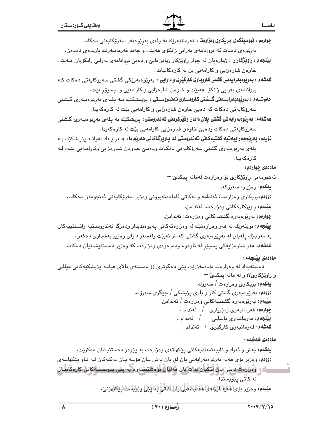| <b>چوارەم : نووسینگەی بریکاری وەزارەت :</b> فەرمانبەرێك بە پلەی بەرێوەبەر سەرۆكايەتى دەكات                        |
|-------------------------------------------------------------------------------------------------------------------|
| بەرپوەى دەبات كە بروانامەى بەرايى زانكۆى ھەبێت و چەند فەرمانبەرێك ياريدەى دەدەن.                                  |
| <b>پینجهم : راونیژکاران :</b> ژمارهیان له چوار راویزگار زیاتر نابێ و دهبێ بروانامهی بهرایی زانکۆیان هــهبێت       |
| خاوهن شارهزایی و کارامهیی بن له کارهکانیاندا.                                                                     |
| <b>شەشەم : بەرێوەبەرايەتى گشتى كاروبارى كارگێڕى و دارايى :</b> بەرێوەبەرێكى گشتى سەرۆكايەتى دەكات كـﻪ             |
| بږوانامهۍ بهرايي زانکۆ  هەبێت و خاوەن شارەزايي و کارامەيي و  پسپۆر بێت.                                           |
| <b>حەوتـــەم : بەرێوەبەرايــەتى گـــشتى كاروبـــارى تەندروســتى :</b> پـزيــشكێك بــە پـلــەى بەرێوەبــەرى گــشتى |
| سەرۆكايەتى دەكات كە دەبىّ خاوەن شارەزايى و كارامەيى بێت لە كارەكەيدا.                                             |
| <b>هەشتەم: بەرێوەبەرايەتى گشتى پلان دانـان وفێركردنى تـەندروستى:</b> پـزيشكێك بە پـلەى بەرێوەبـەرى گـشتى          |
| سەرۆكايەتى دەكات ودەبىّ خاوەن شارەزايى كارامەيى بێت لە كارەكەيدا.                                                 |
| <b>نۆيەم: بەرپوەبەراييەتيە گشتيەكانى تەندروستى لە پاريزگاكانى ھەرپە دا : ھ</b> ـەر يـەك لەوانـە  پزيـشكێك بـە     |
| پلەی بەرێوەبەری گشتی سەرۆکايەتی دەکـات ودەبـێ خـاوەن شـارەزايی وکارامـەيی بێـت لـﻪ                                |
| کارەکەيدا.                                                                                                        |
| ماددهی چوارهم:                                                                                                    |
| ئەنجومەنى راوێژكارى بۆ وەزارەت لەمانە پێكدێ:−                                                                     |
| <b>يەكەم</b> : وەزيـر: سەرۆكە .                                                                                   |
| <b>دووم</b> ؛ بریکاری وەزارەت: ئەندامە و لەکاتی ئامادەنەبوونی وەزیر سەرۆکاپەتی ئەنجومەن دەکات.                    |
| <b>سىيەم:</b> ڕاوێژكارەكانى وەزارەت: ئەندامن.                                                                     |
| <b>چوارەم:</b> بەرپیوەبەرە گشتیەكانى وەزارەت: ئەندامن.                                                            |
| <b>پیّنجهم:</b> نویّنهریاك له ههر وهزارهتیّك له وهزارهتهكانی پهیوهندیدار ودهزگا تهندروسـتیه زانـستییهكان          |
| به مەرجێك پلەيان لە بەڕێوەبەرى گشتى كەمتر نەبێت ولەسەر داواى وەزير بەشدارى دەكەن.                                 |
| <b>شهشهم: م</b> هر شارهزایهکی پسپۆر له ناوهوه ودهرهوهی وهزارهت که وهزیر دهستنیشانیان دهکات.                       |
| ماددەى ييْنجەم:                                                                                                   |
| دەستەيەك لە وەزارەت دادەمەزرێت پێی دەگوترێ (( دەستەی بالأی عیادە پزیشکیەکانی میللـی                               |
| و راوێژکاری)) و له مانه پێکدێ:-                                                                                   |
| <b>يەكەم:</b> بريكارى وەزارەت / سەرۆك                                                                             |
| <b>دووم</b> م: بەرێوەبەرى گشتى كار و بارى پزيشكى / جێگرى سەرۆك.                                                   |
| سييههم: بەرێوەبەرە گشتيپەكانى وەزارەت / ئەندامن.                                                                  |
| <b>چوارەم: ڧ</b> ەرمانبەرى ژمێريارى / ئەندام .                                                                    |
| <b>پِيْنجەم: ن</b> ەرمانبەرى ياسايى       /    ئەندام .<br><b>شەشەم: ن</b> ەرمانبەرى كارگێرى / ئەندام .           |
|                                                                                                                   |
| ماددەى شەشەم :                                                                                                    |
| <b>يهکهم:</b> بهش و ئهرك و تايبهتمهنديهکانی پێکهاتهی وهزارهت به پێڕهو دهستنیشان دهکرێت.                           |
| دووم: وهزیر بۆی هەیە بەرێوەبەرایەتی یان لق یان بەش یـان هۆبـە یـان یەكـەكان لــە نـاو پێكهاتــەی                  |

ATA

سانه و ووزاره د دابنی یان آتیکیان بدانت یان هوایان بارهشننیته وه به پیی پیویستیهکانی کارهگانیان<br>له کاتی پیویستدا ڡێڡ؋<br>**ڡێڡ؋ۥۅ**ەۯۑڔؠ<u>ۆؠ۞۩ڸ۞ڵؽۣڗڹ۞ٳۿٷؠڸڞٲۑ</u>ۣڸ۩ۣڶ۩ڲڶڸؗٳۛ۞ڸڲڸ۩ڽؽۣٚۊڸۺ*ڵ*ڲٳڮێڰڸۧۿێٮ۬ێ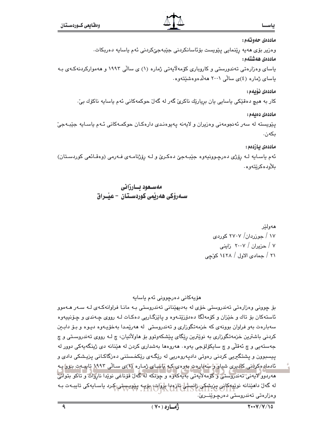## ياس

ماددەي حەوتەم: وەزير بۆى ھەيە رێنمايى يێويست بۆئاسانكردنى جێبەجىکردنى ئەم ياسايە دەريكات. ماددەى ھەشتەم : باسای وهزارهتی تەندورستی و کاروباری کۆمەلاّیەتی ژماره (۱) ی سالّی ۱۹۹۳ و هەموارکردنەکـەی بـە

یاسای ژماره (٤)ی سالی ۲۰۰۱ ههلدهوهشیتهوه.

#### ماددەى ئۆىمە:

کار به هيچ دەقێکی پاسايی يان بريارێك ناكرێ گەر لە گەلٚ حوکمەکانی ئەم پاسايە ناكۆك بیٚ٠

ماددەى دەئلەم:

پێویسته له سهر ئهنجومهنی وهزیران و لایهنه پهیوهندی دارهکان حوکمـهکانی ئـهم یاسـایه جێبـهجیّ بكەن.

#### ماددەى يازدەم :

ئهم ياسـايه لـه رِۆژى دەرچـوونيەوە جێبـهجێ دەكـرێ و لـه رِۆژنامـهى فـهرمى (وەقـائعى كوردسـتان) بلأودەكرێتەوە.

مەسىعود بسارزانى ســەرۆكى ھەرپمى كوردســتـان – عيـْــراق

هەولتر ۱۷ / جوړړدان/ ۲۷۰۷ کوړدی ۷ / حزیران / ۲۰۰۷ زاینی ۲۱ / جمادي الاول / ۱٤۲۸ كۆچى

### مۆيەكانى دەرچوونى ئەم ياسايە

بۆ چوونی وەزارەتی تەندروستی خۆی لە بەدىھێنانی تەندروستی بـه مانـا فراوانەكـەی لـه سـەر ھـەموو ئاستهکان بۆ تاك و خێزان و کۆمەلگا دەدۆرێتـەوە و پاێزگـاریی دەكـات لـه رووی چـەندی و چـۆنىيەوە سهبارهت بهو فراوان بوونهی که خزمهتگوراری و تهندروستی له ههریمدا بهخوّیـهوه دیـوه و بـوّ دابـین کردنی باشترین خزمهتگوزاری به نوێترین رێگای پێشکهوتوو بۆ هاولاٌتیان، چ لـه رووی تهندروسـتی و چ جەستەيى و چ ئەقلى و چ سايكۆلۆجى يەوە٠ ھەروەھا بەشدارى كردن لە ھێنانە دى ژينگەيەكى دوور لە پیسبوون و پشتگیریی کردنی رهوتی دادپهروهریی له رێگـهی رێکخـستنی دهزگاکـانی پزیـشکی دادی و ئادمادەكرۇنى كادىرى شيار ۋ سەلبارەت بەرەي كە ياساي ژمارە (۱)ى سالى ۱۹۹۳ تايپەت بورا يې مەردور لايەنى تەندروستى و گۆمەلايەتى بەيەكەرە و چۈنكە لەگەل قۆناغى نويدا ناروات و تاكو بتوائى لە گەل دا**م**ێنانە نوێڀوكانى چزيشكى ژانستىل تازوبا-پاروات<sub>) ا</sub>بۆپ پێويېستى كرد ياسـايەكى تايبـەت بـە وەزارەتى تەندروستى دەرچىوينــرىٰ.

 $\overline{\bullet}$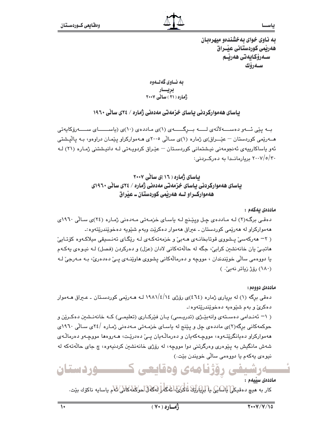به ناوی خوای بهخشندهو میهرهبان هەريمى كوردستانى عيْــراق سـەرۆكايەتى ھەرپـم سەرۆك

به نــاوي گهلــهوه بریسار<br>ژماره (۲۱) سائے ۲۰۰۷

بیاسای ههموارکردنی بیاسای خزمهتی مهدهنی ژماره / ۲۶ی سالی ۱۹٦۰

بــه پێی ئـــهو دهســــهلاْتهى لـــــه بـــرگــــــهى (۱)ى مـاددهى (۱۰)ى (پاســــــاى ســـــهرۆكاپەتى هــهریمی کوردستان – عیٌـــراق)ی ژماره (۱)ی سـالّی ۲۰۰۵ی هـهموارکراو پیّمـان دراوهو، بـه پالیشتی ئەو پاساكارىيەي ئەنجومەنى نيشتمانى كوردسىتان – عێراق كردويـەتى لـە دانيـشتنى ژمـارە (٢١) لـە ۲۰۰۷/٥/۳۰ بریارماندا به دهرک ردنی:

> باسای ژماره ( ۱۶ )ی سالی ۲۰۰۷ یاسای هه موارکردنی یاسای خزمه تی مهدهنی ژماره / ۲۶ی سائی ۱۹۶۰ی ههموارڪراو شه ههريمي کورڊستان ــ عيراق

> > ماددەى يەكەم :

دهقی برگه(۲) لـه مـاددهی چـل ویپّـنج لـه یاسـای خزمـهتی مـهدهنی ژمـاره (۲٤)ی سـالّی ۱۹٦۰ی ههموارکراو له ههريمي کوردستان ـ عيراق ههموار دهکريت وبهم شيويه دهخويندريتهوه :ـ ( ۲- مەركەسى پىشورى قوتابخانـەي مـەبى و خزمەتەكـەي لـە ريكـاي تەنـسىقى مىلاكـەوە كۆتـايى هاتبيّ بان خانهنشين کرابيّ، جگه له حالّهتهکاني لادان (عزل) و دهرکردن (فصل) لـه نيـوهي پهکـهم يا دووهمي سالّي خويندندان ، مووجه و دهرمالهکاني پشووي هاوينـهي يـيّ دهدهريّ، بـه مـهرجيّ لـه (١٨٠) رۆژ زياتر نەبى،)

ماددەي دووەم:

دهقی برگه (۱) له بریاری ژماره (٢٤)ی روزی ١٤/١٤/١٤ لـه هـهریمی کوردستان ـ عـيراق هـهموار دهکرئ و بهم شێوهیه دهخوێندرێتهوه :ـ

( ۱- ئەنىدامى دەسىتەي وانەبيىژى (تدريىسى) يان فيركارى (تعليمى) كىه خانەنىشين دەكىرين و حوکمهکانی برگه(۲)ی ماددهی چل و پێنج له یاسـای خزمـهتی مـهدهنی ژمـاره /۲٤ی سـالّی ۱۹٦۰ی ههموارکراو دهيانگرێتـهوه، مووچـهکهيان و دهرماڵـهيان يــێ دهدرێـت، هــهروهها مووچـهو دهرماڵـهي شهش مانگيش به پێوهري وهرگرتني دوا مووچه، له رۆژي خانهنشين کردنيهوه، چ جاي حالهتهکه له نيوهي پهکهم يا دووهمي سالي خويندن بێت.)

**وردستان** 64 ك 104 كيس

ماددەى سىيەم :

كار به هيچ دەقيكى لِلِلْسَابِي بِالْلِرْيَارِيَّةَ لَمَاكُونَى لَمُعَةً لِلْهَادَالْحَوْكَلُهُ كَانَي كام ياسايه ناكۆك بێت.

 $\overline{\mathcal{N}}$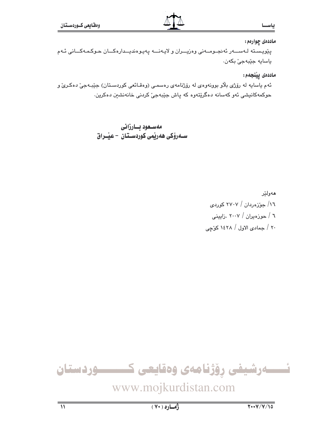#### ياس

ماددهۍ چوارهم:

پێویسته لـهســـهر ئهنجــومـــهني وهزیـــران و لایـهنـــه پهیوهندیــدارهکـــان حـوکـمـهکـــاني ئـهم ياسايه جێبەجىٚ بكەن.

ماددەى يېٽجەم:

ئهم ياسايه له رۆژى بلاو بوونهوەي له رۆژنامەي رەسمى (وەقـائعى كوردسـتان) جێبـهجىٚ دەكـرىٰ و حوکمهکانیشی ئهو کهسانه دهگریتهوه که پاش جیبهجی کردنی خانهنشین دهکرین.

> مەسىغود بسارزانى ســەرۆكى ھەرپمى كوردســتان – عيْــراق

> > هەولێر ١٦/ جوّزەردان / ٢٧٠٧ كوردى ٦ / حوزهيران / ٢٠٠٧ .زايينى ۲۰ / جمادی الاول / ۱٤۲۸ کوّجی

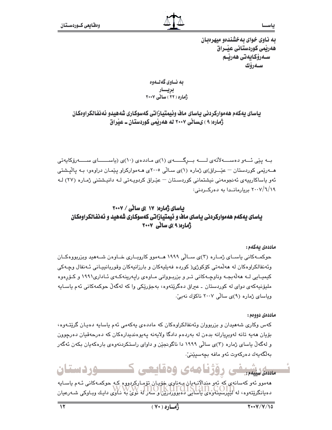به ناوی خوای بهخشندهو میهرهبان هەريمى كوردستانى عيْــراق سـەرۆكايەتى ھەرپـم سەرۆك

به نــاوي گهلــهوه بریسار<br>ژماره ( ۲۲ ) سالی ۲۰۰۷

باساي يەكەم ھەمواركردنى ياساي ماف وئيمتيازاتى كەسوكارى شەھيدو ئەنفائكراوەكان ژماره( ۹ ) یسانی ۲۰۰۷ له ههریمی کوردستان ــ عیراق

بــه پێی ئـــهو دهســــهلأتهى لـــــه بـــرگــــــهى (١)ى مـاددهى (١٠)ى (ياســــــاى ســـــهرۆكايەتى هــهریمی کوردستان – عیّــراق)ی ژماره (۱)ی سـالّی ۲۰۰۵ی هـهموارکراو پیّمـان دراوهو، بـه پالیشتی ئەو ياساكارىيەى ئەنجومەنى نېشتمانى كوردسىتان – عێراق كردوپـەتى لـە دانيـشتنى ژمـارە (٢٧) لـە ۲۰۰۷/٦/۱۹ بریارمانـدا به دهرکــردنی:

#### بیاسای ژماره( ۱۷ )ی ساٽي / ۲۰۰۷ ياسای يهکهم ههموارکردنی ياسای ماف و ئيمتيازاتی کهسوکاری شههيد و ئهنفالکراومکان ژهاره(۹)ی سانی ۲۰۰۷

ماددەى يەكەم:

حوکمــهکانی یاســای ژمــاره (۳)ی ســالّی ۱۹۹۹ هــهموو کاروبــاری خــاوهن شــههید ویزربووهکــان وئەنفالكراوەكان لە ھەلمەتى كۆكوژى( كوردە فەيليەكان و بارزانيەكان وقوريانييـانى ئـەنفال وچـەكى کیمیـایی لـه ههڵهبجـه وناوچـهکانی تـر و بزربـووانی مـاوهی راپهرینهکـهی ئـاداری١٩٩١ و کـۆرهوه مليۆنيەكەي دواي لە كوردستان ـ عيراق دەگرێتەوە، بەجۆرێكى وا كە لەگەڵ حوكمەكانى ئەم ياسـايە وياساي ژماره (٩)ي سالي ٢٠٠٧ ناكۆك نەين.

ماددەي دووەم:

کەس وکار*ى* شەھيدان و بزربووان وئەنفالکراوەکان کە ماددەي يەکەمى ئەم ياسايە دەيـان گرێتـەوە، بۆيان هەيە تانە لەوبريارانە بدەن لە بەردەم دادگا ولايەنە يەيوەنديدارەكان كە دەرجەقيان دەرچوون و لهگهڵ پاسای ژماره (۳)ی سالّی ۱۹۹۹ دا ناگوئجێن و داوای راستکردنهوهی بارهکهبان بکهن ئهگهر بەلگەيەك دەركەوت ئەو مافە بچەسىيننىٚ.

#### 4ى 66قايچى **ــوردستان** ماددەي سىلمم

ههموو ئهو کهسانهي که ئهو مندالانبهيان بيهناوي خويان تۆمبارکردووه کيه حوکميهکاني ئيهم ياسيايه دەيانگرېيتەوە، لەكتېپرسىيەۋەي ياساپىي دەبوۋردرېن كېسەر لەڭگۈي با ناۋى دايىك وبـاوكى شـەرعيان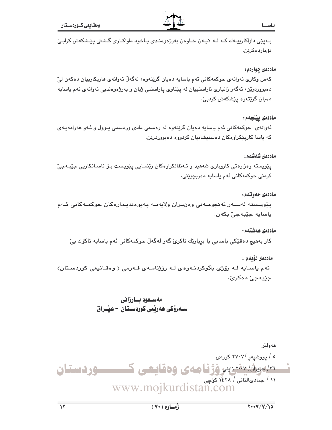ياســ

ب پٽي داواکاريپـهك كـه لـه لايـهن خـاوهن بهرژهوهنـدي پـاخود داواكـاري گـشتي پٽـشكهش كرابـيّ تۆماردەكرێن.

#### ماددهي چوارهم:

كەس وكارى ئەوانەي حوكمەكانى ئەم ياسايە دەيان گريتەوە، لەگەلّ ئەوانەي ھاريكارييان دەكەن لىّ دهبووردرێن، ئەگەر زانیاری ناراستییان لە پێناوی پاراستنی ژیان و بەرژەوەندیی ئەوانەی ئەم یاسایە دەيان گرێتەوە يێشكەش كردېێ.

#### ماددەى ييْنجەم:

ئەوانەي حوكمەكانى ئەم ياسايە دەيان گرێتەوە لە رەسمى دادى ورەسمى پـوول و ئـەو غەرامەيـەي که پاسا کاریێکراوهکان دهسنیشانیان کردووه دهبووردرێن.

#### ماددەى شەشەھ :

پێویسته وهزارهتی کاروباری شههید و ئـهنفالکراوهکان رێنمـایی پێویـست بـۆ ئاسـانکاریی جێبـهجیٚ كردنى حوكمەكانى ئەم ياسايە دەربچوێنى٠

#### ماددەي حەوتەم:

يێويـسته لەسـەر ئەنجومـەنى وەزيـران ولايەنـە يەيوەنديـدارەكان حوكمـەكانى ئـەم ياسايه جێبهجيٚ بکهن.

#### ماددەى ھەشتەم :

کار بەھیچ دەقێکی یاسایی یا برِیارێك ناکرێ گەر لەگەڵ حوکمەکانی ئەم یاسایە ناكۆك بیٚ٠

#### ماددەى ئۆيەم :

ئەم ياسـايە لــه رۆژى بلاوكردنــهوەي لــه رۆژنامــهي فــهرمى ( وەقــائىيعى كوردســتان) جٽبهجي دهکريٰ.

#### مەسىعود بسارزانى سـەرۆكى ھەربمى كوردسـتان - عيْـراق

هەولێر ه / پووشپهږ /۲۷۰۷ کوردی <u>۲۸ مریزهٔ ۲۸۷ راینو وژنا هاهی وهقایی ک</u> **ــوردستان** WWW.mojkurdistan.com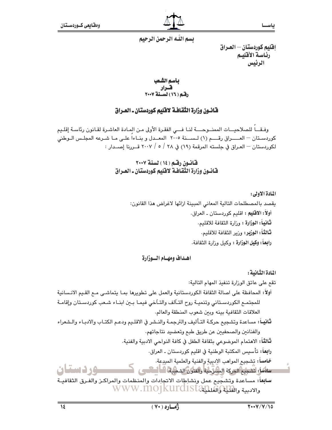#### يسم اللّه الرحمن الرحيم

إفليم كوردستان — العـراق رئاسة الأقليم الرئيس

بأسم الشعب 

#### قانسون وزارة الثقافية لاقليم كوردستان ـ العيراق

وفيقا للصلاحيــات الممنــوحـــة لنـا فـــى الفقرة الأولى مـن المـادة العاشـرة لقـانون رئاسـة إقلـيم كوردسـتان — العـــــراق رقـــــم (١) لـســــــنة ٢٠٠٥ المعـــدل و بنــاءاً علــى مــا شــرعه المجلـس الــوطنى لكوردستان — العـراق في جلسته المرقمة (١٩) في ٢٨ / ٥ / ٢٠٠٧ قــررنا إصــدار :

#### قانون رقم (١٤) لسنة ٢٠٠٧ فانسون وزارة الثقافية لافليم كوردستان ـ العـراق

المادة الأولى: يقصد بالمصطلحات التالية المعاني المبينة ازائها لاغراض هذا القانون: أولاً: الاقليم : اقليم كوردستان ـ العراق. ثانياً : الوزارة : وزارة الثقافة للاقليم. ثالثاً: الوزير: وزير الثقافة للاقليم. رابعاً: وكيل الوزارة : وكيل وزارة الثقافة.

#### اهداف ومهيام السوزارة

المادة الثنانية :

تقع على عاتق الوزارة تنفيذ المهام التالية: أولاً: المحافظة على اصالة الثقافة الكوردستانية والعمل على تطويرها بمـا يتماشـي مـع القـيم الانـسانية للمجتمع الكوردسـتاني وتنميـة روح التـآلف والتـآخي فيمـا بـعن ابنـاء شـعب كوردسـتان وإقامـة العلاقات الثقافية بينه ويبن شعوب المنطقة والعالم. ثانيــاً: مساعدة وتشجيع حركـة التـأليف والترجمـة والنـشر في الاقلـيم ودعـم الكتـاب والادبـاء والـشعراء والفنانين والصحفيين عن طريق طبع وتعضيد نتاجاتهم. ثالثاً: الامتمام الموضوعي بثقافة الطفل في كافة النواحي الادبية والفنية. را**بع**اً؛ تأسيس المكتبة الوطنية في اقليم كوردستان ـ العراق. خامساً: تشجيع المواهب الإدبية والفنية والعلمية المبدعة. **ع د دستان** سامًا: تشجيع الحركة المشرَّحية والفترة الشميلة فـ السانسي سابعاً: مساعدة وتشجيع عمل ونشاطات الاتجادات والمنظمات والمراكـز والفـرق الثقافيــة WWW.MOJKUrd1Star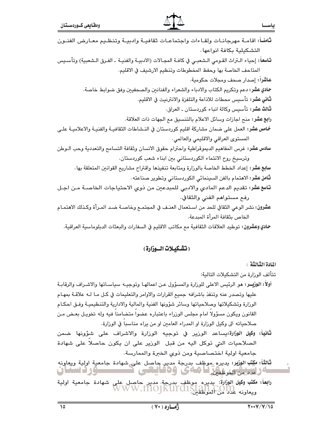| ثامناً: اقامـة مهرجانـات ولقـاءات واجتماعـات ثقافيـة وادبيـة وتنظـيم معـارض الفنـون                         |
|-------------------------------------------------------------------------------------------------------------|
| التشكيلية بكافة انواعها.                                                                                    |
| تاسعاً: إحياء التراث القـومي الـشعبـي في كافـة المجـالات (الادبيـة والفنيـة ـ الفـرق الـشعبية) وتأسـيس      |
| المتاحف الخاصة بها وحفظ المخطوطات وتنظيم الارشيف في الاقليم.                                                |
| عاشراً: إصدار صحف ومجلات حكومية.                                                                            |
| حادي عشر: دعم وتكريم الكتاب والادباء والشعراء والفنانين والصحفيين وفق ضوابط خاصة.                           |
| <b>ثاني عشر:</b> تأسيس محطات للاذاعة والتلفزة والانترنيت في الاقليم.                                        |
| <b>ثالث عشر:</b> تأسيس وكالة انباء كوردستان ـ العراق.                                                       |
| را <b>بع عشر:</b> منح اجازات وسائل الاعلام بالتنسيق مع الجهات ذات العلاقة.                                  |
| <b>نحامس عشر:</b> العمل على ضمان مشاركة اقليم كوردستان في النـشاطات الثقافيــة والفنيــة والاعلاميــة علــي |
| المستوى العراقي والاقليمي والعالمي.                                                                         |
| سادس عشر: غرس المفاهيم الديموقراطية واحترام حقوق الانسان وثقافة التسامح والتعددية وحب الـوطن                |
| وترسيخ روح الانتماء الكوردستاني بين ابناء شعب كوردستان.                                                     |
| <b>سابع عشر:</b> إعداد الخطط الخاصة بالوزارة ومتابعة تنفيذها واقتراح مشاريع القوانين المتعلقة بها.          |
| <b>ثـّامن عشر:</b> الاهتمام بالفن السبينمائي الكوردستاني وتطوير صناعته .                                    |
| <b>تاسع عشر: تق</b> ديم الدعم المادي والادبي للمبدعين من ذوي الاحتياجات الخاصــة مـن اجـل                   |
| رفع مستواهم الفني والثقافي.                                                                                 |
| عشرون: نشر الوعي الثقافي للحد من اسـتعمال العنـف في المجتمـع وخاصـة ضـد المـرأة وكـذلك الاهتمـام            |
| الخاص بثقافة المرأة المبدعة.                                                                                |
| حادي وعشرون: توطيد العلاقات الثقافية مع مكاتب الاقليم في السفارات والبعثات الدبلوماسية العراقية.            |

#### (تشكيلات السوزارة)

اللادة الثالثة -

تتألف الوزارة من التشكيلات التالية:

- أولاً: الوزيــر: هو الرئيس الاعلى للوزارة والمسؤول عـن اعمالهـا وتوجيــه سياسـاتها والاشـراف والرقابـة عليها وتصدر عنه وتنفذ باشرافه جميع القرارات والاوامر والتعليمات في كـل مـا لـه علاقـة بمهـام الوزارة وتشكيلاتها وصلاحياتها وسائر شؤونها الفنية والمالية والادارية والتنظيميـة وفـق احكـام القانون ويكون مسؤولاً امام مجلس الوزراء باعتباره عضواً متضامناً فيه وله تخويـل بعـض مـن صلاحياته الى وكيل الوزارة او المدراء العامين او من يراه مناسباً في الوزارة.
- **ثانياً: وكيل الوزارة:ي**ساعد الوربير في توجيه الورارة والاشراف على شؤونها ضمن الصلاحيات التي توكل اليه من قبل الوزير على ان يكون حاصلا على شهادة جامعية اولية اختصاصية ومن ذوى الخبرة والممارسة.
- شانشاً: مكتب الوزير: يديره موظف بدرجة مدير. حاصل على شهادة جامعية اولية ويعاونه<br>كافراغدد من الموظفين في همامي (60 فيكتبي)
- را**بعاً: مكتب وكيل الوزارة:** يديره موظف بدرجة مدير حاصل على شهادة جامعية اولية<br>WWW.IIIOJKUICI1SLAN COIN<br>ويعاونه عدد من الموظفين WWW.IIIOJKUICI1SLAN

ياس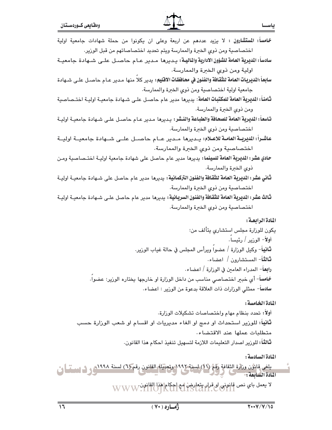| ومقايعى كــوردسـتان                                                                                                     |                                                                        | ياسحا           |
|-------------------------------------------------------------------------------------------------------------------------|------------------------------------------------------------------------|-----------------|
| <b>خمامساً: المستشارون :</b> لا يزيد عددهم عن اربعة وعلى ان يكونوا من حملة شهادات جامعية اولية                          |                                                                        |                 |
|                                                                                                                         | اختصاصية ومن ذوي الخبرة والممارسة ويتم تحديد اختصاصاتهم من قبل الوزير. |                 |
| سادساً: المديرية العامة للشؤون الادارية والماليـة: يـديرهـا  مـدير عـام حاصـل علـى شـهادة جامعيــة                      |                                                                        |                 |
|                                                                                                                         | اولية ومن ذوي الخبرة والممارسة.                                        |                 |
| سابِعاً :المديريات العامة للثقافة والفنون في محافظات الاقليم:  يدير كلاً منها  مـدير عـام حاصـل علـى شـهادة             |                                                                        |                 |
|                                                                                                                         | جامعية اولية اختصاصية ومن ذوي الخبرة والممارسة.                        |                 |
| <b>ثامناً: المديرية العامة للمكتبات العامة</b> : يديرها مدير عام حاصـل علـى شـهادة جامعيـة اوليـة اختـصاصية             |                                                                        |                 |
|                                                                                                                         | ومن ذوي الخبرة والممارسة.                                              |                 |
| <b>تـاسفـًا : المديرية العـامة للصحـافة والطبـاعة والنــشر :</b> يـديرهـا مـدير عـام حاصـل علـى شـهادة جامعيــة اوليــة |                                                                        |                 |
|                                                                                                                         | اختصاصية ومن ذوي الخبرة والممارسة.                                     |                 |
| عاشـراً: المديريــة العامــة للاعــلام: يــديرهـا مــدير عــام حاصــل علــى شــهادة جامعيــة اوليــة                    |                                                                        |                 |
|                                                                                                                         | اختصاصية ومن ذوي الخبرة والممارسة.                                     |                 |
| ح <b>ادي عشر : المديرية العامة للسينما :</b> يديرها مدير عام حاصل على شهادة جامعية اوليـة اختــصاصبية ومـن              |                                                                        |                 |
|                                                                                                                         | ذوي الخبرة والممارسة.                                                  |                 |
| <b>ثاني عشر : المديرية العامة للثقافة والفنون التركمانية :</b> يديرها مدير عام حاصل على شـهادة جامعيــة اوليــة         |                                                                        |                 |
|                                                                                                                         | اختصاصية ومن ذوي الخبرة والممارسة.                                     |                 |
| <b>ثالث عشر: المديرية العامة للثقافة والفنون السريانية:</b> يديرها مدير عام حاصل علـى شـهادة جامعيــة اوليــة           |                                                                        |                 |
|                                                                                                                         | اختصاصية ومن ذوي الخبرة والممارسة.                                     |                 |
|                                                                                                                         |                                                                        | المادة الرابعة: |

 $\overline{\mathbf{A}}$ 

المادة الخامسة:

أولاً: تحدد بنظام مهام واختصاصات تشكيلات الوزارة. **ثانياً:** للوزير استحداث او دمج او الغاء مديريات او اقسام او شعب الوزارة حسب متطلبات عملها عند الاقتضاء. ثالثاً: للورير اصدار التعليمات اللازمة لتسهيل تنفيذ احكام هذا القانون.

المادة السادسة:

 $\rightarrow$ 

يلغى قابۇن وزارة الثقافة رقم (11) لسنة 1997 وتعانيله القانون رقم (٦) لسنة 1994 و 1 لغست <mark>كونت</mark> ال<br>بادة السابعة : المادة السابعة:

لا يعمل باي نص قانوني او قرار بتعارض أمع احكام هذا القانون WWW.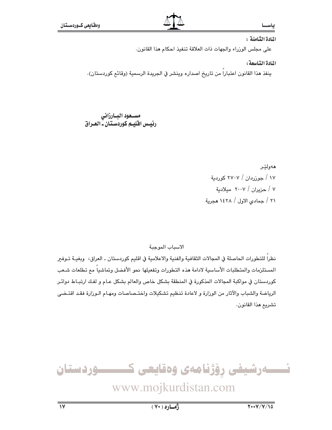#### ياس

#### المادة الثامنة :

على مجلس الوزراء والجهات ذات العلاقة تنفيذ احكام هذا القانون.

#### المادة التاسعة:

ينفذ هذا القانون اعتباراً من تاريخ اصداره وينشر في الجريدة الرسمية (وقائع كوردستان).

# مســـعود البــارزاني<br>رئيــس اقليــم كوردســتـان ــ الـصـراق

مەولێر ١٧ / حوزردان / ٢٧٠٧ كوردية ۷ / حزیران / ۲۰۰۷ میلادیة ٢١ / جمادى الاول / ١٤٢٨ هجرية

الاسباب الموجبة

نظراً للتطورات الحاصلة في المجالات الثقافية والفنية والاعلامية في اقليم كوردستان ـ العراق، وبغيــة تــوفير المستلزمات والمتطلبات الأساسية لادامة هذه التطورات وتفعيلها نحو الأفضل وتماشياً مم تطلعات شـعب كوردستان في مواكبة المجالات المذكورة في المنطقة بشكل خاص والعالم بشكل عـام و لفـك ارتبـاط دوائـر الرياضة والشباب والآثار من الوزارة و لاعادة تنظيم تشكيلات واختـصاصات ومهـام الـوزارة فقـد اقتـضي تشريع هذا القانون.

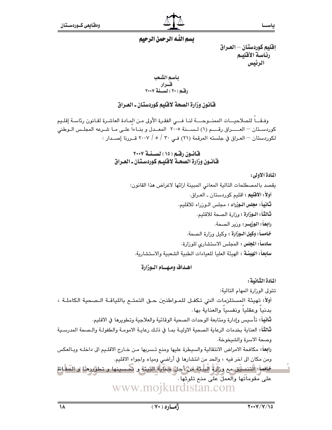ياســا

### يسم اللّه الرحمن الرحيم

إفليم كوردستان — العـراق رئاسة الأقليم الرئيس

بأسم الشعب .<br>رفسم ( ۲۰ ) لسسفة ۲۰۰۷<br>رفسم ( ۲۰ ) لسسفة ۲۰۰۷

#### فانون وزارة الصحة لاقليم كوردستان ـ العيراق

وفيقياً للصلاحيــات الممنــوحـــة لنـا فـــى الفقرة الأولى مـن المـادة العاشـرة لقـانون رئاسـة إقلـيم كوردسـتان — العـــــراق رقـــــم (١) لـســــنة ٢٠٠٥ المعــدل و بنــاءاً علــى مــا شــرعه المجلـس الــوطنى لكوردستان — العـراق في جلسته المرقمة (٢١) فـي ٣٠ / ٥ / ٢٠٠٧ قــررنا إصــدار :

#### قانون رقم (١٥) لسنة ٢٠٠٧ قانسون وزارة الصحبة لاقليبم كوردستان ـ العيراق

#### المادة الأولى:

يقصد بالمصطلحات التالية المعاني المبينة ازائها لاغراض هذا القانون: أولاً: الاقليم : اقليم كوردستان ـ العـراق. ثانياً: مجلس الوزراء : مجلس الوزراء للاقليم. ثالثاً: الـوزارة : ورارة الصحة للاقليم. رابعاً: الوزيــر: ورير الصحة. خامساً: وكيل الـوزارة : وكيل وزارة الصحة. **سادساً: المجلس :** المجلس الاستشارى للوزارة. سابِعاً: الهيئـة : الهيئة العليا للعيادات الطبية الشعبية والاستشارية.

#### اهداف ومهيام البوزارة

المادة الثيانية :

تتولى الورارة المهام التالية: أولاً: تهيئة المستلزمات التي تكفـل للمـواطنين حـق التمتـم باللياقـة الـصحية الكاملـة ، بدنيا وعقليا ونفسيا والعناية بها. ثانياً: تأسيس وإدارة ومتابعة الوحدات الصحية الوقائية والعلاجية وتطويرها في الاقليم. ثَّالثَّاً: العناية بخدمات الرعاية الصحية الاوليـة بمـا في ذلـك رعايـة الامومـة والطفولـة والـصحة المدرسـية وصحة الاسرة والشيخوخة. رابعاً: مكافحة الامراض الانتقالية والسيطرة عليها ومنع تـسربها مـن خـارج الاقلـيم الى داخلـه وبـالعكس ومن مكان الى اخر فيه ، والحد من انتشارها في أراضي ومياه واجواء الاقليم. خالساً: الْتنسيق مع وزارةٌ البليئة امن أجل هماية البيئة و كمسينها و تطويرها و التَّعاظ على مقوماًتها والعمل على منح تلوثها . www.mojkurdistan.com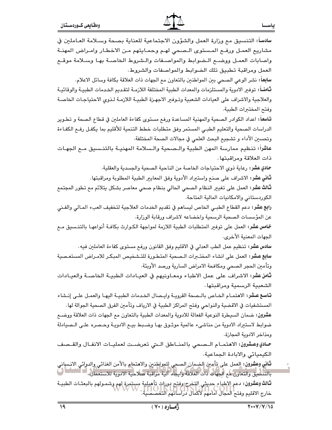| سادســـاً: التنسيق مـع وزارة العمل والشؤون الاجتماعية للعناية بصحة وســلامة العــاملين في                                                                                              |  |
|----------------------------------------------------------------------------------------------------------------------------------------------------------------------------------------|--|
| مشاريع العمـل ورفـع المـستوى الـصحي لهـم وحمـايتهم مـن الاخطـار وامـراض المهنــة                                                                                                       |  |
| واصابات العمل ووضىع الـضوابط والمواصـفات والـشروط الخاصـة بهـا وسـلامة موقـع                                                                                                           |  |
| العمل ومراقبة تطبيق تلك الضوابط والمواصفات والشروط.                                                                                                                                    |  |
| <b>سابقاً:</b> نشر الوعي الصحي بين المواطنين بالتعاون مع الجهات ذات العلاقة بكافة وسائل الاعلام.                                                                                       |  |
| <b>ثامنــ</b> اً: توفير الادوية والمستلزمات والمعدات الطبية المختلفة اللازمـة لتقـديم الخـدمات الطبيـة والوقائيـة                                                                      |  |
| والعلاجية والاشراف على العيادات الشعبية وتـوفير الاجهـزة الطبيـة اللازمـة لـذوي الاحتياجـات الخاصـة                                                                                    |  |
| وفتح المختبرات الطبية.                                                                                                                                                                 |  |
| <b>تـاسفـ</b> اً: اعداد الكوادر الصحية والمهنية المساعدة ورفـع مستوى كفاءة العاملين في قطاع الصحة و تطـوير                                                                             |  |
| الدراسات الصحية والتعليم الطبى المستمر وفق متطلبات خطط التنمية للأقليم بما يكفـل رفـع الكفـاءة                                                                                         |  |
| وتحسين الأداء و تشجيع البحث العلمي في مجالات الصحة المختلفة.                                                                                                                           |  |
| عاشراً: تنظيم ممارسة المهن الطبية والـصحية والـسلامة المهنيـة بالتنـسبيق مـع الجهـات                                                                                                   |  |
| ذات العلاقة ومراقبتها.                                                                                                                                                                 |  |
| ح <b>ادي عشر:</b> رعاية ذوي الاحتياجات الخاصة من الناحية الصحية والجسدية والعقلية.                                                                                                     |  |
| <b>ثاني عشر:</b> الاشراف على صنع واستيراد الأدوية وفق المعايير الطبية المطلوبة ومراقبتها.                                                                                              |  |
| <b>ثالث عشر:</b> العمل على تغيير النظام الصحي الحالي بنظام صحي معاصر بشكل يتلائم مع تطور المجتمع                                                                                       |  |
| الكوردستاني والامكانيات المالية المتاحة.                                                                                                                                               |  |
| <b>رابع عشر:</b> دعم القطاع الطبـي الخاص ليساهم في تقديم الخدمات العلاجية لتخفيف العبء المـالي والفـني                                                                                 |  |
| عن المؤسسات الصحية الرسمية واخضاعه لاشراف ورقابة الوزارة.                                                                                                                              |  |
| <b>خماس عشر:</b> العمل على توفير المتطلبات الطبية اللازمة لمواجهة الكـوارث بكافـة أنواعهـا بالتنـسيق مـع                                                                               |  |
| الجهات المعنية الأخرى.                                                                                                                                                                 |  |
| <b>سادس عشر:</b> تـنـظيم عمل الـطب العدلي في الاقليم وفـق القانون ورفـع مستوى كفاءة العاملين فيه .                                                                                     |  |
| <b>سابع عشر:</b> العمل على انشاء المختـبرات الـصحية المتطـورة للتـشخيص المبكـر للامـراض المستعـصية                                                                                     |  |
| وتأمين الحجر الصحي ومكافحة الامراض السارية ورصد الأوبئة.                                                                                                                               |  |
| ثامن عشر: الاشراف على عمل الاطباء ومعـاونيهم في العيـادات الطبيــة الخاصــة والعيــادات                                                                                                |  |
| الشعبية الرسمية ومراقبتها.                                                                                                                                                             |  |
| تاسع عشر: الاهتمـام الخـاص بالـصحة القرويـة وايـصال الخـدمات الطبيـة اليهـا والعمـل علـى إنـشاء                                                                                        |  |
| المستشفيات في الاقضية والنواحي وفتح المراكز الطبية في الارياف وتأمين الفرق الصحية الجوالة لها ـ                                                                                        |  |
| عشرون: ضمان السيطرة النوعية الفعالة للادوية والمعدات الطبية بالتعاون مع الجهات ذات العلاقة ووضـع                                                                                       |  |
| ضوابط لاستيراد الادوية من مناشيء عالمية موثـوق بهـا وضـبط بيـع الادويـة وحـصره علـى الـصيادلة                                                                                          |  |
| ومذاخر الادوية المجازة.                                                                                                                                                                |  |
| حـادي وعـشرون: الاهتمــام الــصحي بالمنــاطق الــتي تعرضــت لعمليــات الانفــال والقــصف                                                                                               |  |
| الكيميائي والابادة الجماعية.                                                                                                                                                           |  |
| ثاني وعشرون: العمل على تأمين الضمان الصحي للمواطنين والامتمام بالأمن الغذائي والدوائي الانساني<br>بالتنسيق والتعاون مم الجهات ذات العلاقة وايجاد آلية مراقبة صلاحية الادوية للاستعمال. |  |
| <b>ثالث وعشرون:</b> دعم الإطباء حديثي التخرج وفتح دورات تأهيلية مستمرة لهم وشمـولهم بالبعثـات الطبيـة<br>خارج الاقليم وفتح المجال آمامهم لأكمال دراساتهم التخصصية.                     |  |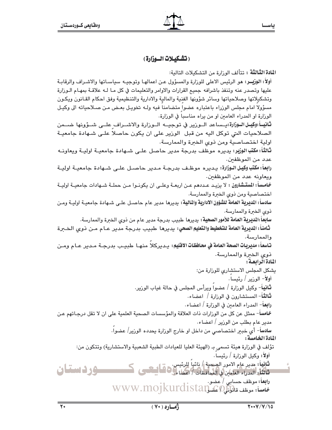### (تشكيلات السوزارة)

ا**لمادة الثَّالثَّة** : تتألف الوزارة من التشكيلات التالية:

أولاً: الوزيــر: مو الرئيس الاعلى للوزارة والمسؤول عـن اعمالهـا وتوجيــه سياسـاتها والاشـراف والرقابـة عليها وتصدر عنه وتنفذ باشرافه جميع القرارات والاوامر والتعليمات في كل مـا لـه علاقــة بمهـام الـوزارة وتشكيلاتها وصلاحياتها وسائر شؤونها الفنية والمالية والادارية والتنظيمية وفق احكام القـانون ويكـون مسؤولا امام مجلس الوزراء باعتباره عضوا متضامنا فيه ولـه تخويـل بعـض مـن صـلاحياته الى وكيـل الوزارة او المدراء العامين او من يراه مناسبا في الوزارة.

**ثانيـــاً:وكيــل الــوزارة:يــ**ساعد الــورير في توجيـــه الــورارة والاشــراف علــى شــؤونها ضـــمن الصلاحيات التي توكل اليه من قبل الوزير على ان يكون حاصلا علـى شـهادة جامعيـة اولية اختصاصية ومن ذوي الخبرة والممارسة.

**ثالثاً: مكتب الوزير:** يديره موظف بدرجة مدير حاصل علـى شـهادة جامعيـة اوليـة ويعاونـه عدد من الموظفين.

را**بع**اً: **مكتب وكيـل الـوزارة**: يـديره موظـف بدرجـة مـدير حاصـل علـى شـهادة جامعيـة اوليـة ويعاونه عدد من الموظفين.

خامساً: المستشارون : لا يزيـد عـددهم عـن اربعـة وعلـى ان يكونـوا مـن حملـة شـهادات جامعيـة اوليـة اختصاصية ومن ذوى الخبرة والممارسة.

سادساً: المديرية العامة للشؤون الادارية والمالية: يديرها مدير عام حاصـل علـى شـهادة جامعيـة اوليـة ومـن ذوى الخبرة والممارسة.

**سابعاً :المديرية العامة للأمور الصحية :** يديرها طبيب بدرجة مدير عام من ذوى الخبرة والممارسة.

ثامناً: المديرية العامة للتغطيط والتعليم الصعي: يديرهـا ـطبيب بدرجة مدير عــام مــن ذوى الـخــرة والممارسة.

تاسماً: مديربات الصعة العامة في معافظات الاقليم: يـديركلا منهـا طبيـب بدرجـة مـدير عـام ومـن ذوي الخبرة والممارسة.

المادة الرابعة:

**ثانياً**- وكيل الورارة / عضواً ويرأس المجلس في حالة غياب الورير.

**ثالثاً**- المستشارون في الوزارة / اعضاء.

**رابعاً**– المدراء العامين في الورارة / اعضاء.

خامساً- ممثل عن كل من الوزارات ذات العلاقة والمؤسسات الصحية العلمية على ان لا تقل درجـاتهم عـن مدير عام بطلب من الورير / اعضاء.

> سادساً- أي خبير اختصاصي من داخل او خارج الوزارة يحدده الوزير/ عضوا. المادة الخامسة :

تؤلف في الوزارة هيئة تسمى بـ (الهيئة العليا للعيادات الطبية الشعبية والاستشارية) وتتكون من: أولاً: وكيل الورارة / رئيسا .

**ثَانِياً:** مدير عام الامور الصِيحية / نائبا للرئيس. شائثاً: المدراء العامين في المحافظات / اعضاء في ها استعمى **رابعاً:** موظف حساب*ی | ع*ضو-WWW.mojkurdistan موظف قالولنله 20 www.mojkurdistan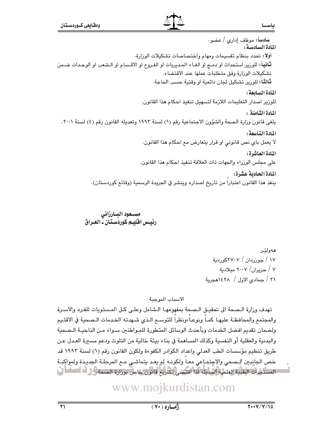سادساً: موظف إدارى / عضو. المادة السادسة: أولاً: تحدد بنظام تقسيمات ومهام واختصاصات تشكيلات الورارة. **ثّانياً:** للورير استحداث او دمـج او الغـاء المـديريات او الفـروع او الاقـسام او الـشعب او الوحـدات ضـمن تشكيلات الوزارة وفق متطلبات عملها عند الاقتضاء. **ثالثاً**؛ للورير تشكيل لجان دائمية او وقتية حسب الحاجة. المادة السائعة: للورير اصدار التعليمات اللازمة لتسهيل تنفيذ احكام هذا القانون. المادة الثامنة : يلغي قانون وزارة الصحة والشؤون الاجتماعية رقم (١) لسنة ١٩٩٣ وتعديله القانون رقم (٤) لسنة ٢٠٠١.

> المادة التاسعة: لا يعمل باي نص قانوني او قرار يتعارض مع احكام هذا القانون.

> > المادة العاشرة:

على مجلس الوزراء والجهات ذات العلاقة تنفيذ احكام هذا القانون.

المادة الحادية عشرة:

ينفذ هذا القانون اعتبارا من تاريخ اصداره وينشر في الجريدة الرسمية (وقائم كوردستان).

#### مسـعود البـارزاني رئيس اقليم كوردستان ـ العراق

هەولٽر ۱۷ / جوزردان / ۲۷۰۷کوردیة ٧ / حزيران/ ٢٠٠٧ ميلادية ٢١ / جمادى الاول / ١٤٢٨هجرية

الاسباب الموجبة

تهدف وزارة الـصحة الى تحقيـق الـصحة بمفهومهـا الـشامل وعلـى كـل المستويات للفـرد والاسـرة والمجتمع والمحافظة عليها كما ونوعـا،ونظرا للتوسـع الـذي شـهدته الخـدمات الـصحية في الاقلـيم ولضمان تقديم افضل الخدمات ويأحدث الوسائل المتطورة للمـواطنـن سـواء مـن الناحيـة الـصحية والبدنية والعقلية أو النفسية وكذلك المساهمة في بناء بيئة خالية من التلوث ودعم مسبرة العـدل عـن طريق تنظيم مؤسسات الطب العدلي واعداد الكوادر الكفوءة ولكون القانون رقم (١) لسنة ١٩٩٢ قد خص الجانبين الصحى والإجتماعي معـا ولكونـه لم يعـد يتماشى مـع المرحلـة الجديـدة ولمواكِبـة المستكملات الطبية العلمية الحديثة لذا اقتضى تشريع قانون خاص بوزارة الصحة ووف الاستبان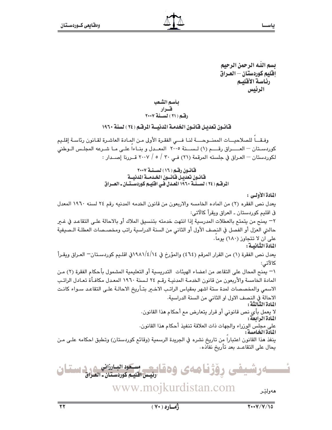يسم اللّه الرحمن الرحيم إقليم كوردستان — العـراق رئاسة الأقليم الرئيس

#### بأسم الشعب قسرار رقم (٢١) لسنة ٢٠٠٧

#### قانـون تعديـل فـّانـون الخدمـة المدنيــة المرفـّـم ( ٢٤ ) لسنة ١٩٦٠

وفـقـــاً للصلاحيـــات الممنــوحــــة لنــا فـــي الفقـرة الأولى مـن المـادة العاشـرة لقـانون رئاسـة إقلـيم كوردستان - العـــراق رقـــم (١) لـســنة ٢٠٠٥ المعـدل و بنـاءا علـى مـا شـرعه المجلـس الـوطنى لكوردستان — العراق في جلسته المرقمة (٢١) في ٣٠ / ٥ / ٢٠٠٧ قـررنا إصـدار :

#### قانون رقم ( ١٦ ) لسنة ٢٠٠٧ فانسون تعديل فانسون الخدمسة المدنسة المرقـّم ( ٢٤ ) لـســنــة ١٩٦٠ المــدل فــى افليــم كوردســتــان ــ المــــراق

#### المادة الأولى :

يعدل نص الفقره (٢) من الماده الخامسه والاربعون من قانون الخدمه المدنيه رقم ٢٤ لسنه ١٩٦٠ المعدل في اقليم كوردستان ـ العراق ويقرأ كالآتى: ٢– يمنح من يتمتح بالعطلات المدرسية إذا انتهت خدمته بتنسيق الملاك أو بالاحالة علـي التقاعـد في غـير حالتي العزل أو الفصل في النصف الأول أو الثاني من السنة الدراسية راتب ومخصـصات العطلـة الـصيفية على ان لا تتجاوز (١٨٠) يوما. المادة الثيانيية : يعدل نص الفقرة (١) من القرار المرقم (٤٦٤) والمؤرخ في ١٤/٤/١٨٨١في اقلـيم كوردسـتان— العـراق ويقـرأ كالآتي: \¬ يمنح المحال على التقاعد من اعضاء الهيئات التدريسية أو التعليمية المشمول بأحكام الفقرة (٢) مـن المادة الخامسة والأربعون من قانون الخدمـة المدنيـة رقـم ٢٤ لـسنة ١٩٦٠ المعـدل مكافـأة تعـادل الراتـب الاسمى والمخصصات لمدة ستة اشهر بمقياس الراتب الاخـير بتـأريخ الاحالـة علـى التقاعـد سـواء كانـت الاحالة في النصف الاول او الثاني من السنة الدراسية. المادة الثَّبالثَّة : لا يعمل بأي نص قانوني أو قرار يتعارض مع أحكام هذا القانون. المادة الرابعة: على مجلس الوزراء والجهات ذات العلاقة تنفيذ أحكام هذا القانون. المادة الخامسة : ينفذ هذا القانون اعتبارا من تاريخ نشره في الجريدة الرسمية (وقائع كوردستان) وتطبق احكامه علـى مـن يحال على التقاعــد بعد تأريخ نفاذه٠

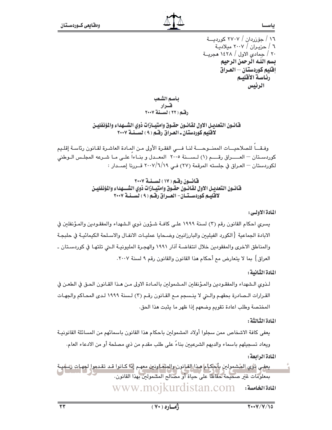١٦ / ح<u>ۆزر</u>دان / ٢٧٠٧ كورديــــة ٦ / حزيـران / ٢٠٠٧ ميلاديـة ٢٠ / جمادى الاول / ١٤٢٨ هجريــة بسم اللـه الرحمن الرحيم إفليم كوردستان — العـراق رئاسة الأقليم الرئيس

بأسم الشعب 

فنانسون التعديس الاول لقانسون حقسوق وامتيسازات ذوى الشسهداء والمؤنفليين لاقليم كوردستان ـ العـراق رقـم ( ٩ ) لســنـة ٢٠٠٧

وفقــا للصلاحيــات الممنــوحـــة لنـا فـــى الفقـرة الأولى مـن المـادة العاشـرة لقـانون رئاسـة إقلـيم كوردستان – العــــراق رقــــم (١) لـســـنة ٢٠٠٥ المعــدل و بنــاءاً علــى مـا شـرعه المجلـس الـوطني لكوردستان — العـراق في جلسته المرقمة (٢٧) فـي ٢٠٠٧/٦/١٩ قـــررنا إصـــدار :

> قانسون رقبه ( ١٧ ) لسنة ٢٠٠٧ فنانسون التعديس الاول لقانسون حقبوق وامتيسازات ذوى الشسسهداء والمؤنفليين لاقليم كوردستان- العبراق رقبه ( ٩ ) لسَّبنية ٢٠٠٧

#### المادة الأولى:

يسري احكام القانون رقم (٣) لسنة ١٩٩٩ على كافـة شـؤون ذوي الـشهداء والمفقـودين والمـؤنفلين في الابادة الجماعية {الكورد الفيليين والبارزانيين وضـحايا عمليـات الانفـال والاسـلحة الكيمائيـة في حلبجـة والمناطق الاخرى والمفقودين خلال انتفاضـة آذار ١٩٩١ والهجـرة المليونيـة الـتي تلتهـا في كوردسـتان ـ العراق} بما لا يتعارض مم أحكام هذا القانون والقانون رقم ٩ لسنة ٢٠٠٧.

المادة الثيانية :

لـذوى الـشهداء والمفقـودين والمـؤنفلين المـشمولين بالمـادة الاولى مـن هـذا القـانون الحـق في الطعـن في القرارات الـصادرة بحقهـم والـتي لا ينـسجم مـع القـانون رقـم (٣) لـسنة ١٩٩٩ لـدى المحـاكم والجهـات المختصة وطلب اعادة تقويم وضعهم إذا ظهر ما يثبت هذا الحق.

#### اللادة الثالثة :

يعفي كافة الاشخاص ممن سجلوا أولاد المشمولين باحكام هذا القانون باسمائهم من المسائلة القانونيـة ويعاد تسجيلهم باسماء والديهم الشرعيين بذاءً على طلب مقدم من ذي مصلحة أو من الادعاء العام.

المادة الرابعة :

يعفى ذوِّي المشمولين بأحكـام هـذا القـانون والمِتَّعَـاونين معهـم إِذا كـانوا قـد تقـدموا لجهـات رساميـة بمعلومات غير صحيحة حفاظاً على حياة أو مصالح المشمولين بهذا القانون. WWW.mojkurdistan.com